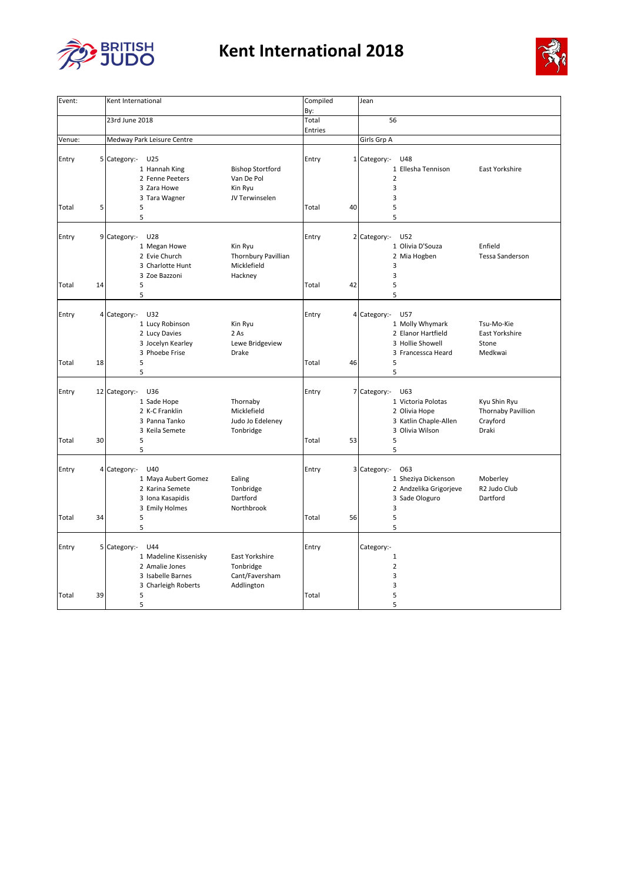

## **Kent International 2018**



| Event: |    | Kent International                       | Compiled |    | Jean                                       |
|--------|----|------------------------------------------|----------|----|--------------------------------------------|
|        |    |                                          | By:      |    |                                            |
|        |    | 23rd June 2018                           | Total    |    | 56                                         |
| Venue: |    |                                          | Entries  |    |                                            |
|        |    | Medway Park Leisure Centre               |          |    | Girls Grp A                                |
| Entry  |    | 5 Category:- U25                         | Entry    | 1  | Category:-<br>U48                          |
|        |    | <b>Bishop Stortford</b><br>1 Hannah King |          |    | 1 Ellesha Tennison<br>East Yorkshire       |
|        |    | 2 Fenne Peeters<br>Van De Pol            |          |    | $\overline{2}$                             |
|        |    | 3 Zara Howe<br>Kin Ryu                   |          |    | 3                                          |
|        |    | 3 Tara Wagner<br>JV Terwinselen          |          |    | 3                                          |
| Total  | 5  | 5                                        | Total    | 40 | 5                                          |
|        |    | 5                                        |          |    | 5                                          |
| Entry  |    | 9 Category:-<br>U28                      | Entry    |    | 2 Category:-<br>U52                        |
|        |    | 1 Megan Howe<br>Kin Ryu                  |          |    | 1 Olivia D'Souza<br>Enfield                |
|        |    | 2 Evie Church<br>Thornbury Pavillian     |          |    | 2 Mia Hogben<br><b>Tessa Sanderson</b>     |
|        |    | 3 Charlotte Hunt<br>Micklefield          |          |    | 3                                          |
|        |    | 3 Zoe Bazzoni<br>Hackney                 |          |    | 3                                          |
| Total  | 14 | 5                                        | Total    | 42 | 5                                          |
|        |    | 5                                        |          |    | 5                                          |
|        |    |                                          |          |    |                                            |
| Entry  |    | 4 Category:-<br>U32                      | Entry    |    | 4 Category:-<br>U57                        |
|        |    | 1 Lucy Robinson<br>Kin Ryu               |          |    | 1 Molly Whymark<br>Tsu-Mo-Kie              |
|        |    | 2 Lucy Davies<br>2 As                    |          |    | 2 Elanor Hartfield<br>East Yorkshire       |
|        |    | 3 Jocelyn Kearley<br>Lewe Bridgeview     |          |    | 3 Hollie Showell<br>Stone                  |
|        |    | 3 Phoebe Frise<br><b>Drake</b>           |          |    | 3 Francessca Heard<br>Medkwai              |
| Total  | 18 | 5                                        | Total    | 46 | 5                                          |
|        |    | 5                                        |          |    | 5                                          |
| Entry  |    | 12 Category:-<br>U36                     | Entry    |    | 7 Category:-<br>U63                        |
|        |    | Thornaby<br>1 Sade Hope                  |          |    | 1 Victoria Polotas<br>Kyu Shin Ryu         |
|        |    | Micklefield<br>2 K-C Franklin            |          |    | 2 Olivia Hope<br><b>Thornaby Pavillion</b> |
|        |    | 3 Panna Tanko<br>Judo Jo Edeleney        |          |    | 3 Katlin Chaple-Allen<br>Crayford          |
|        |    | 3 Keila Semete<br>Tonbridge              |          |    | 3 Olivia Wilson<br>Draki                   |
| Total  | 30 | 5                                        | Total    | 53 | 5                                          |
|        |    | 5                                        |          |    | 5                                          |
|        |    |                                          |          |    |                                            |
| Entry  |    | 4 Category:-<br>U40                      | Entry    | 3  | Category:-<br>O63                          |
|        |    | 1 Maya Aubert Gomez<br>Ealing            |          |    | 1 Sheziya Dickenson<br>Moberley            |
|        |    | 2 Karina Semete<br>Tonbridge             |          |    | R2 Judo Club<br>2 Andzelika Grigorjeve     |
|        |    | Dartford<br>3 Iona Kasapidis             |          |    | 3 Sade Ologuro<br>Dartford                 |
|        |    | Northbrook<br>3 Emily Holmes             |          |    | 3                                          |
| Total  | 34 | 5                                        | Total    | 56 | 5                                          |
|        |    | 5                                        |          |    | 5                                          |
|        |    |                                          |          |    |                                            |
| Entry  |    | 5 Category:-<br>U44                      | Entry    |    | Category:-                                 |
|        |    | 1 Madeline Kissenisky<br>East Yorkshire  |          |    | 1                                          |
|        |    | 2 Amalie Jones<br>Tonbridge              |          |    | $\overline{2}$                             |
|        |    | 3 Isabelle Barnes<br>Cant/Faversham      |          |    | 3                                          |
|        |    | 3 Charleigh Roberts<br>Addlington        |          |    | 3                                          |
| Total  | 39 | 5                                        | Total    |    | 5                                          |
|        |    | 5                                        |          |    | 5                                          |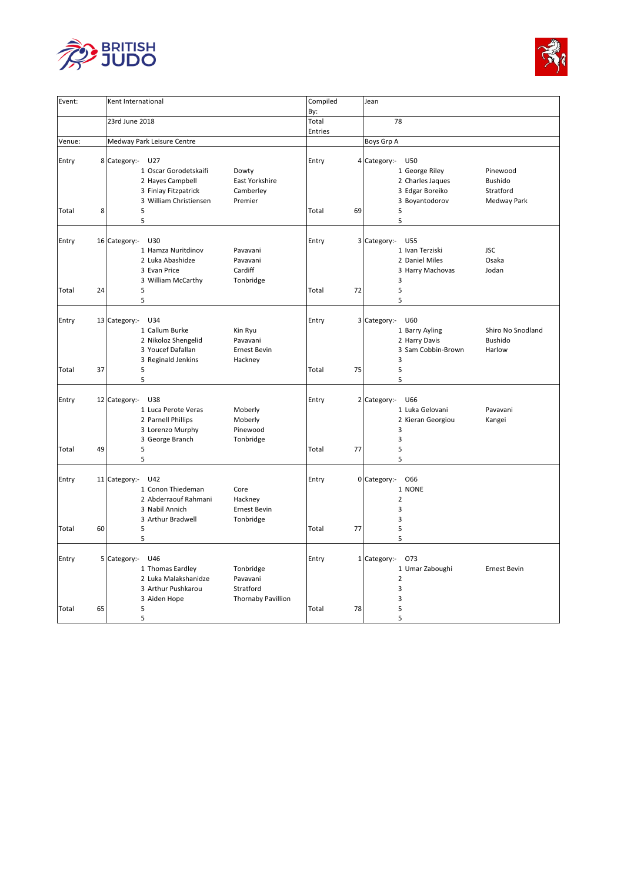



| Event: |    | Kent International         |                           | Compiled       |    | Jean                |                     |
|--------|----|----------------------------|---------------------------|----------------|----|---------------------|---------------------|
|        |    |                            |                           | By:            |    |                     |                     |
|        |    | 23rd June 2018             |                           | Total          |    | 78                  |                     |
|        |    |                            |                           | <b>Entries</b> |    |                     |                     |
| Venue: |    | Medway Park Leisure Centre |                           |                |    | Boys Grp A          |                     |
| Entry  |    | 8 Category:- U27           |                           | Entry          |    | 4 Category:-<br>U50 |                     |
|        |    | 1 Oscar Gorodetskaifi      | Dowty                     |                |    | 1 George Riley      | Pinewood            |
|        |    | 2 Hayes Campbell           | East Yorkshire            |                |    | 2 Charles Jaques    | <b>Bushido</b>      |
|        |    | 3 Finlay Fitzpatrick       | Camberley                 |                |    | 3 Edgar Boreiko     | Stratford           |
|        |    | 3 William Christiensen     | Premier                   |                |    | 3 Boyantodorov      | Medway Park         |
|        |    | 5                          |                           |                |    |                     |                     |
| Total  | 8  | 5                          |                           | Total          | 69 | 5<br>5              |                     |
|        |    |                            |                           |                |    |                     |                     |
| Entry  |    | 16 Category:- U30          |                           | Entry          |    | 3 Category:-<br>U55 |                     |
|        |    | 1 Hamza Nuritdinov         | Pavavani                  |                |    | 1 Ivan Terziski     | <b>JSC</b>          |
|        |    | 2 Luka Abashidze           | Pavavani                  |                |    | 2 Daniel Miles      | Osaka               |
|        |    | 3 Evan Price               | Cardiff                   |                |    | 3 Harry Machovas    | Jodan               |
|        |    | 3 William McCarthy         | Tonbridge                 |                |    | 3                   |                     |
| Total  | 24 | 5                          |                           | Total          | 72 | 5                   |                     |
|        |    | 5                          |                           |                |    | 5                   |                     |
|        |    |                            |                           |                |    |                     |                     |
| Entry  |    | 13 Category:-<br>U34       |                           | Entry          |    | 3 Category:- U60    |                     |
|        |    | 1 Callum Burke             | Kin Ryu                   |                |    | 1 Barry Ayling      | Shiro No Snodland   |
|        |    | 2 Nikoloz Shengelid        | Pavavani                  |                |    | 2 Harry Davis       | <b>Bushido</b>      |
|        |    | 3 Youcef Dafallan          | <b>Ernest Bevin</b>       |                |    | 3 Sam Cobbin-Brown  | Harlow              |
|        |    | 3 Reginald Jenkins         | Hackney                   |                |    | 3                   |                     |
| Total  | 37 | 5                          |                           | Total          | 75 | 5                   |                     |
|        |    | 5                          |                           |                |    | 5                   |                     |
|        |    | U38                        |                           |                |    | U66                 |                     |
| Entry  |    | 12 Category:-              |                           | Entry          |    | 2 Category:-        |                     |
|        |    | 1 Luca Perote Veras        | Moberly                   |                |    | 1 Luka Gelovani     | Pavavani            |
|        |    | 2 Parnell Phillips         | Moberly                   |                |    | 2 Kieran Georgiou   | Kangei              |
|        |    | 3 Lorenzo Murphy           | Pinewood                  |                |    | 3                   |                     |
|        |    | 3 George Branch            | Tonbridge                 |                |    | 3                   |                     |
| Total  | 49 | 5                          |                           | Total          | 77 | 5                   |                     |
|        |    | 5                          |                           |                |    | 5                   |                     |
| Entry  |    | 11 Category:-<br>U42       |                           | Entry          |    | 0 Category:-<br>O66 |                     |
|        |    | 1 Conon Thiedeman          | Core                      |                |    | 1 NONE              |                     |
|        |    | 2 Abderraouf Rahmani       | Hackney                   |                |    | $\overline{2}$      |                     |
|        |    | 3 Nabil Annich             | <b>Ernest Bevin</b>       |                |    | 3                   |                     |
|        |    | 3 Arthur Bradwell          | Tonbridge                 |                |    | $\overline{3}$      |                     |
| Total  | 60 | 5                          |                           | Total          | 77 | 5                   |                     |
|        |    | 5                          |                           |                |    | 5                   |                     |
|        |    |                            |                           |                |    |                     |                     |
| Entry  |    | 5 Category:- U46           |                           | Entry          |    | 1 Category:-<br>073 |                     |
|        |    | 1 Thomas Eardley           | Tonbridge                 |                |    | 1 Umar Zaboughi     | <b>Ernest Bevin</b> |
|        |    | 2 Luka Malakshanidze       | Pavavani                  |                |    | $\overline{2}$      |                     |
|        |    | 3 Arthur Pushkarou         | Stratford                 |                |    | 3                   |                     |
|        |    | 3 Aiden Hope               | <b>Thornaby Pavillion</b> |                |    | 3                   |                     |
| Total  | 65 | 5                          |                           | Total          | 78 | 5                   |                     |
|        |    | 5                          |                           |                |    | 5                   |                     |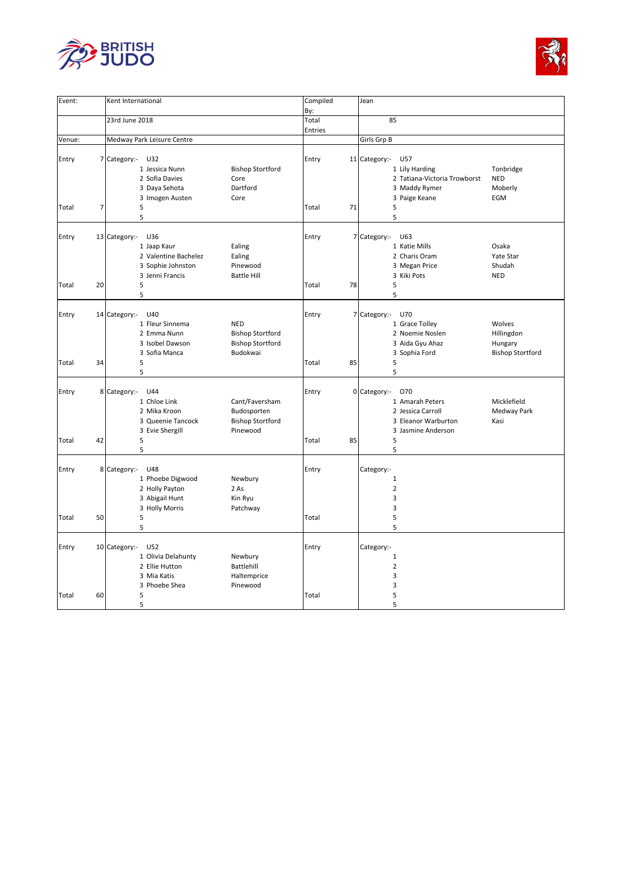



| Event:         |                | Kent International                                                                                                                                                                   | Compiled             | Jean                                                                                                                                                                 |
|----------------|----------------|--------------------------------------------------------------------------------------------------------------------------------------------------------------------------------------|----------------------|----------------------------------------------------------------------------------------------------------------------------------------------------------------------|
|                |                |                                                                                                                                                                                      | By:                  |                                                                                                                                                                      |
|                |                | 23rd June 2018                                                                                                                                                                       | Total                | 85                                                                                                                                                                   |
|                |                |                                                                                                                                                                                      | <b>Entries</b>       |                                                                                                                                                                      |
| Venue:         |                | Medway Park Leisure Centre                                                                                                                                                           |                      | Girls Grp B                                                                                                                                                          |
| Entry          |                | 7 Category:-<br>U32<br><b>Bishop Stortford</b><br>1 Jessica Nunn<br>2 Sofia Davies<br>Core<br>3 Daya Sehota<br>Dartford<br>3 Imogen Austen<br>Core                                   | Entry                | 11 Category:-<br>U57<br>1 Lily Harding<br>Tonbridge<br>2 Tatiana-Victoria Trowborst<br><b>NED</b><br>3 Maddy Rymer<br>Moberly<br>3 Paige Keane<br>EGM                |
| Total          | $\overline{7}$ | 5<br>5                                                                                                                                                                               | 71<br>Total          | 5<br>5                                                                                                                                                               |
| Entry<br>Total | 20             | 13 Category:-<br>U36<br>1 Jaap Kaur<br>Ealing<br>2 Valentine Bachelez<br>Ealing<br>3 Sophie Johnston<br>Pinewood<br>3 Jenni Francis<br><b>Battle Hill</b><br>5<br>5                  | Entry<br>78<br>Total | 7 Category:-<br>U63<br>Osaka<br>1 Katie Mills<br>2 Charis Oram<br><b>Yate Star</b><br>3 Megan Price<br>Shudah<br>3 Kiki Pots<br><b>NED</b><br>5<br>5                 |
| Entry<br>Total | 34             | 14 Category:-<br>U40<br>1 Fleur Sinnema<br><b>NED</b><br>2 Emma Nunn<br><b>Bishop Stortford</b><br>3 Isobel Dawson<br><b>Bishop Stortford</b><br>3 Sofia Manca<br>Budokwai<br>5<br>5 | Entry<br>Total<br>85 | 7 Category:-<br>U70<br>1 Grace Tolley<br>Wolves<br>2 Noemie Noslen<br>Hillingdon<br>3 Aida Gyu Ahaz<br>Hungary<br>3 Sophia Ford<br><b>Bishop Stortford</b><br>5<br>5 |
| Entry<br>Total | 8<br>42        | Category:-<br>U44<br>1 Chloe Link<br>Cant/Faversham<br>2 Mika Kroon<br>Budosporten<br>3 Queenie Tancock<br><b>Bishop Stortford</b><br>Pinewood<br>3 Evie Shergill<br>5<br>5          | Entry<br>85<br>Total | 0 Category:-<br>O70<br>1 Amarah Peters<br>Micklefield<br>2 Jessica Carroll<br>Medway Park<br>3 Eleanor Warburton<br>Kasi<br>3 Jasmine Anderson<br>5<br>5             |
| Entry<br>Total | 50             | 8 Category:-<br>U48<br>1 Phoebe Digwood<br>Newbury<br>2 Holly Payton<br>2 As<br>3 Abigail Hunt<br>Kin Ryu<br>3 Holly Morris<br>Patchway<br>5                                         | Entry<br>Total       | Category:-<br>$\mathbf 1$<br>$\overline{2}$<br>3<br>3<br>5                                                                                                           |
|                |                | 5                                                                                                                                                                                    |                      | 5                                                                                                                                                                    |
| Entry          |                | 10 Category:-<br>U52<br>1 Olivia Delahunty<br>Newbury<br>2 Ellie Hutton<br>Battlehill<br>3 Mia Katis<br>Haltemprice<br>3 Phoebe Shea<br>Pinewood                                     | Entry                | Category:-<br>$\mathbf{1}$<br>$\overline{2}$<br>3<br>3                                                                                                               |
| Total          | 60             | 5<br>5                                                                                                                                                                               | Total                | 5<br>5                                                                                                                                                               |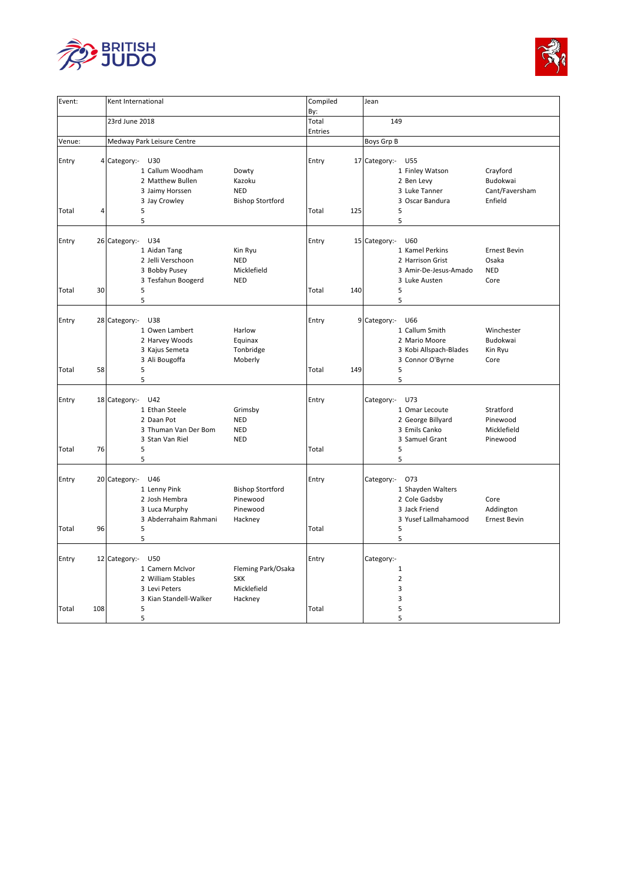



| Event:         |     | Kent International                                                                                                                                            | Compiled<br>By:       | Jean                                                                                                                                                     |
|----------------|-----|---------------------------------------------------------------------------------------------------------------------------------------------------------------|-----------------------|----------------------------------------------------------------------------------------------------------------------------------------------------------|
|                |     | 23rd June 2018                                                                                                                                                | Total                 | 149                                                                                                                                                      |
|                |     |                                                                                                                                                               | Entries               |                                                                                                                                                          |
| Venue:         |     | Medway Park Leisure Centre                                                                                                                                    |                       | Boys Grp B                                                                                                                                               |
| Entry          |     | 4 Category:-<br>U30<br>1 Callum Woodham<br>Dowty<br>2 Matthew Bullen<br>Kazoku<br>3 Jaimy Horssen<br><b>NED</b><br>3 Jay Crowley<br><b>Bishop Stortford</b>   | Entry                 | 17 Category:-<br>U55<br>1 Finley Watson<br>Crayford<br>Budokwai<br>2 Ben Levy<br>Cant/Faversham<br>3 Luke Tanner<br>3 Oscar Bandura<br>Enfield           |
| Total          | 4   | 5<br>5                                                                                                                                                        | Total<br>125          | 5<br>5                                                                                                                                                   |
| Entry          |     | 26 Category:-<br>U34<br>Kin Ryu<br>1 Aidan Tang<br>2 Jelli Verschoon<br><b>NED</b><br>3 Bobby Pusey<br>Micklefield<br>3 Tesfahun Boogerd<br><b>NED</b>        | Entry                 | 15 Category:- U60<br>1 Kamel Perkins<br><b>Ernest Bevin</b><br>Osaka<br>2 Harrison Grist<br><b>NED</b><br>3 Amir-De-Jesus-Amado<br>3 Luke Austen<br>Core |
| Total          | 30  | 5<br>5                                                                                                                                                        | Total<br>140          | 5<br>5                                                                                                                                                   |
| Entry<br>Total | 58  | 28 Category:- U38<br>1 Owen Lambert<br>Harlow<br>2 Harvey Woods<br>Equinax<br>3 Kajus Semeta<br>Tonbridge<br>3 Ali Bougoffa<br>Moberly<br>5                   | Entry<br>Total<br>149 | 9 Category:-<br>U66<br>1 Callum Smith<br>Winchester<br>2 Mario Moore<br>Budokwai<br>3 Kobi Allspach-Blades<br>Kin Ryu<br>3 Connor O'Byrne<br>Core<br>5   |
|                |     | 5                                                                                                                                                             |                       | 5                                                                                                                                                        |
| Entry          |     | 18 Category:-<br>U42<br>1 Ethan Steele<br>Grimsby<br>2 Daan Pot<br><b>NED</b><br>3 Thuman Van Der Bom<br><b>NED</b><br>3 Stan Van Riel<br><b>NED</b>          | Entry                 | Category:- U73<br>1 Omar Lecoute<br>Stratford<br>2 George Billyard<br>Pinewood<br>3 Emils Canko<br>Micklefield<br>3 Samuel Grant<br>Pinewood             |
| Total          | 76  | 5<br>5                                                                                                                                                        | Total                 | 5<br>5                                                                                                                                                   |
| Entry          |     | 20 Category:-<br>U46<br>1 Lenny Pink<br><b>Bishop Stortford</b><br>2 Josh Hembra<br>Pinewood<br>3 Luca Murphy<br>Pinewood<br>3 Abderrahaim Rahmani<br>Hackney | Entry                 | Category:- 073<br>1 Shayden Walters<br>2 Cole Gadsby<br>Core<br>3 Jack Friend<br>Addington<br>3 Yusef Lallmahamood<br><b>Ernest Bevin</b>                |
| Total          | 96  | 5<br>5                                                                                                                                                        | Total                 | 5<br>5                                                                                                                                                   |
| Entry          |     | 12 Category:-<br>U50<br>Fleming Park/Osaka<br>1 Camern McIvor<br>2 William Stables<br><b>SKK</b><br>Micklefield<br>3 Levi Peters                              | Entry                 | Category:-<br>1<br>$\overline{2}$<br>3                                                                                                                   |
| Total          | 108 | 3 Kian Standell-Walker<br>Hackney<br>5<br>5                                                                                                                   | Total                 | 3<br>5<br>5                                                                                                                                              |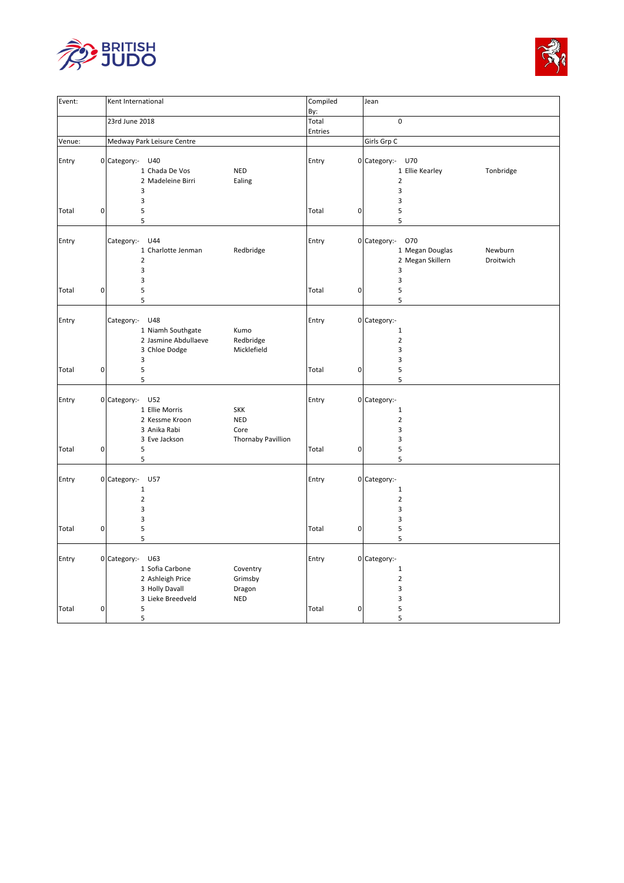



| Event: | Kent International |                                                                            |                                                        | Compiled<br>By: |           | Jean                                          |                                     |                      |
|--------|--------------------|----------------------------------------------------------------------------|--------------------------------------------------------|-----------------|-----------|-----------------------------------------------|-------------------------------------|----------------------|
|        | 23rd June 2018     |                                                                            |                                                        | Total           |           | $\pmb{0}$                                     |                                     |                      |
|        |                    |                                                                            |                                                        | Entries         |           |                                               |                                     |                      |
| Venue: |                    | Medway Park Leisure Centre                                                 |                                                        |                 |           | Girls Grp C                                   |                                     |                      |
| Entry  | 0 Category:- U40   | 1 Chada De Vos<br>2 Madeleine Birri<br>3                                   | <b>NED</b><br>Ealing                                   | Entry           |           | 0 Category:- U70<br>$\mathbf 2$<br>3          | 1 Ellie Kearley                     | Tonbridge            |
| Total  | $\pmb{0}$          | 3<br>5<br>5                                                                |                                                        | Total           | $\pmb{0}$ | 3<br>5<br>5                                   |                                     |                      |
| Entry  | Category:-         | U44<br>1 Charlotte Jenman<br>$\overline{2}$<br>3<br>3                      | Redbridge                                              | Entry           |           | 0 Category:- 070<br>3<br>3                    | 1 Megan Douglas<br>2 Megan Skillern | Newburn<br>Droitwich |
| Total  | $\mathbf 0$        | 5<br>5                                                                     |                                                        | Total           | 0         | 5<br>5                                        |                                     |                      |
| Entry  | Category:-         | U48<br>1 Niamh Southgate<br>2 Jasmine Abdullaeve<br>3 Chloe Dodge          | Kumo<br>Redbridge<br>Micklefield                       | Entry           |           | 0 Category:-<br>1<br>$\overline{2}$<br>3<br>3 |                                     |                      |
| Total  | $\pmb{0}$          | 3<br>5<br>5                                                                |                                                        | Total           | $\pmb{0}$ | 5<br>5                                        |                                     |                      |
| Entry  | 0 Category:- U52   | 1 Ellie Morris<br>2 Kessme Kroon<br>3 Anika Rabi<br>3 Eve Jackson          | <b>SKK</b><br><b>NED</b><br>Core<br>Thornaby Pavillion | Entry           |           | 0 Category:-<br>1<br>$\overline{2}$<br>3<br>3 |                                     |                      |
| Total  | 0                  | 5<br>5                                                                     |                                                        | Total           | $\pmb{0}$ | 5<br>5                                        |                                     |                      |
| Entry  | 0 Category:-       | U57<br>$\mathbf 1$<br>$\overline{2}$<br>3<br>3                             |                                                        | Entry           |           | 0 Category:-<br>1<br>$\mathbf 2$<br>3<br>3    |                                     |                      |
| Total  | 0                  | 5<br>5                                                                     |                                                        | Total           | $\pmb{0}$ | 5<br>5                                        |                                     |                      |
| Entry  | 0 Category:- U63   | 1 Sofia Carbone<br>2 Ashleigh Price<br>3 Holly Davall<br>3 Lieke Breedveld | Coventry<br>Grimsby<br>Dragon<br><b>NED</b>            | Entry           |           | 0 Category:-<br>1<br>$\overline{2}$<br>3<br>3 |                                     |                      |
| Total  | 0                  | 5<br>5                                                                     |                                                        | Total           | 0         | 5<br>5                                        |                                     |                      |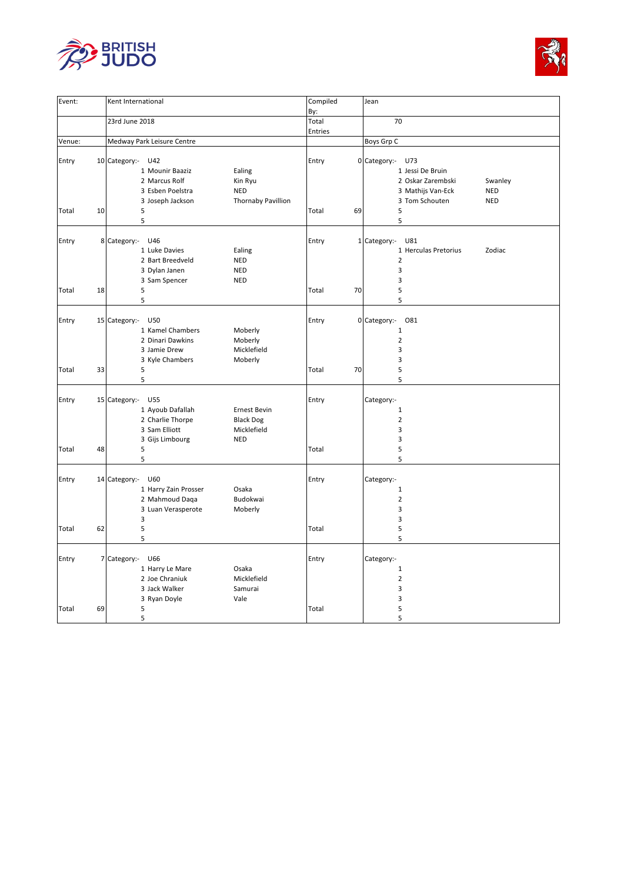



| Event:         |    | Kent International                                                                                                                                                         | Compiled       |    | Jean                                                                                                       |
|----------------|----|----------------------------------------------------------------------------------------------------------------------------------------------------------------------------|----------------|----|------------------------------------------------------------------------------------------------------------|
|                |    |                                                                                                                                                                            | By:            |    |                                                                                                            |
|                |    | 23rd June 2018                                                                                                                                                             | Total          |    | 70                                                                                                         |
|                |    |                                                                                                                                                                            | Entries        |    |                                                                                                            |
| Venue:         |    | Medway Park Leisure Centre                                                                                                                                                 |                |    | Boys Grp C                                                                                                 |
| Entry          |    | 10 Category:-<br>U42<br>Ealing<br>1 Mounir Baaziz<br>2 Marcus Rolf<br>Kin Ryu<br>3 Esben Poelstra<br><b>NED</b>                                                            | Entry          |    | 0 Category:-<br>U73<br>1 Jessi De Bruin<br>2 Oskar Zarembski<br>Swanley<br>3 Mathijs Van-Eck<br><b>NED</b> |
| Total          | 10 | <b>Thornaby Pavillion</b><br>3 Joseph Jackson<br>5<br>5                                                                                                                    | Total          | 69 | 3 Tom Schouten<br><b>NED</b><br>5<br>5                                                                     |
| Entry          |    | 8 Category:- U46<br>1 Luke Davies<br>Ealing<br>2 Bart Breedveld<br><b>NED</b><br>3 Dylan Janen<br><b>NED</b><br>3 Sam Spencer<br><b>NED</b>                                | Entry          |    | 1 Category:- U81<br>1 Herculas Pretorius<br>Zodiac<br>$\overline{2}$<br>3<br>3                             |
| Total          | 18 | 5<br>5                                                                                                                                                                     | Total          | 70 | 5<br>5                                                                                                     |
| Entry          |    | 15 Category:-<br>U50<br>1 Kamel Chambers<br>Moberly<br>2 Dinari Dawkins<br>Moberly<br>Micklefield<br>3 Jamie Drew<br>3 Kyle Chambers<br>Moberly                            | Entry          |    | 0 Category:-<br>081<br>$1\,$<br>$\overline{2}$<br>3<br>3                                                   |
| Total          | 33 | 5<br>5                                                                                                                                                                     | Total          | 70 | 5<br>5                                                                                                     |
| Entry<br>Total | 48 | 15 Category:- U55<br>1 Ayoub Dafallah<br><b>Ernest Bevin</b><br>2 Charlie Thorpe<br><b>Black Dog</b><br>3 Sam Elliott<br>Micklefield<br>3 Gijs Limbourg<br><b>NED</b><br>5 | Entry<br>Total |    | Category:-<br>$1\,$<br>$\mathbf 2$<br>3<br>3<br>5                                                          |
|                |    | 5                                                                                                                                                                          |                |    | 5                                                                                                          |
| Entry          |    | 14 Category:-<br>U60<br>Osaka<br>1 Harry Zain Prosser<br>2 Mahmoud Daqa<br>Budokwai<br>3 Luan Verasperote<br>Moberly<br>3                                                  | Entry          |    | Category:-<br>$\mathbf 1$<br>$\overline{2}$<br>3<br>3                                                      |
| Total          | 62 | 5<br>5                                                                                                                                                                     | Total          |    | 5<br>5                                                                                                     |
| Entry          |    | 7 Category:-<br>U66<br>1 Harry Le Mare<br>Osaka<br>2 Joe Chraniuk<br>Micklefield<br>3 Jack Walker<br>Samurai<br>3 Ryan Doyle<br>Vale                                       | Entry          |    | Category:-<br>$1\,$<br>$\mathbf 2$<br>3<br>3                                                               |
| Total          | 69 | 5<br>5                                                                                                                                                                     | Total          |    | 5<br>5                                                                                                     |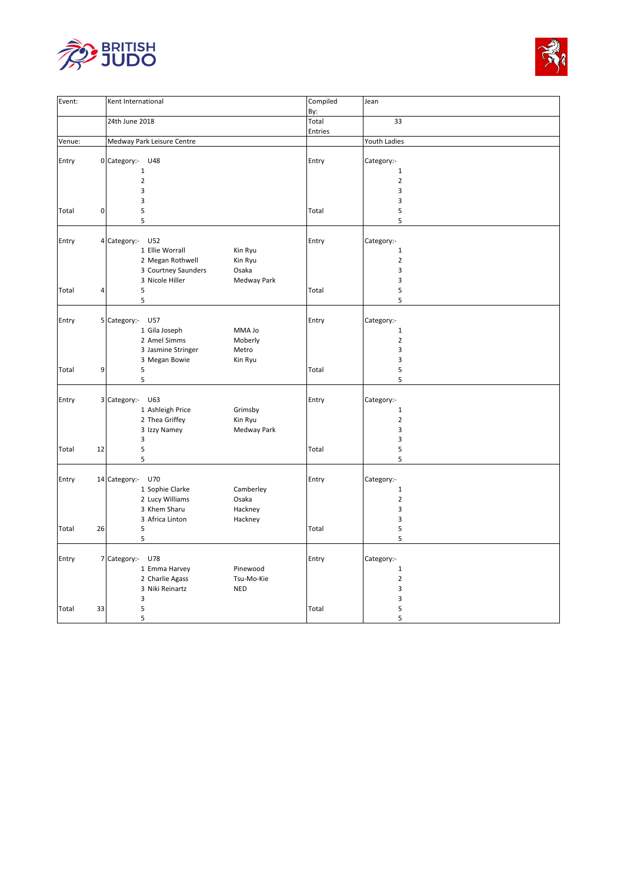



| Event: |                | Kent International            |             | Compiled | Jean           |
|--------|----------------|-------------------------------|-------------|----------|----------------|
|        |                |                               |             | By:      |                |
|        |                | 24th June 2018                |             | Total    | 33             |
|        |                |                               |             |          |                |
|        |                |                               |             | Entries  |                |
| Venue: |                | Medway Park Leisure Centre    |             |          | Youth Ladies   |
|        |                |                               |             | Entry    |                |
| Entry  |                | 0 Category:- U48              |             |          | Category:-     |
|        |                | $\mathbf 1$<br>$\overline{2}$ |             |          | $\mathbf 1$    |
|        |                |                               |             |          | $\overline{2}$ |
|        |                | $\overline{3}$                |             |          | 3              |
|        |                | 3                             |             |          | 3              |
| Total  | $\mathbf 0$    | 5                             |             | Total    | 5              |
|        |                | 5                             |             |          | 5              |
|        |                |                               |             |          |                |
| Entry  |                | 4 Category:- U52              |             | Entry    | Category:-     |
|        |                | 1 Ellie Worrall               | Kin Ryu     |          | $\mathbf 1$    |
|        |                | 2 Megan Rothwell              | Kin Ryu     |          | $\mathbf 2$    |
|        |                | 3 Courtney Saunders           | Osaka       |          | 3              |
|        |                | 3 Nicole Hiller               | Medway Park |          | 3              |
| Total  | $\overline{4}$ | 5                             |             | Total    | 5              |
|        |                | 5                             |             |          | 5              |
|        |                |                               |             |          |                |
| Entry  |                | 5 Category:-<br>U57           |             | Entry    | Category:-     |
|        |                | 1 Gila Joseph                 | MMA Jo      |          | $1\,$          |
|        |                | 2 Amel Simms                  | Moberly     |          | $\mathbf 2$    |
|        |                | 3 Jasmine Stringer            | Metro       |          | 3              |
|        |                | 3 Megan Bowie                 | Kin Ryu     |          | 3              |
| Total  | 9              | 5                             |             | Total    | 5              |
|        |                | 5                             |             |          | 5              |
|        |                |                               |             |          |                |
| Entry  |                | 3 Category:- U63              |             | Entry    | Category:-     |
|        |                | 1 Ashleigh Price              | Grimsby     |          | 1              |
|        |                | 2 Thea Griffey                | Kin Ryu     |          | $\overline{2}$ |
|        |                | 3 Izzy Namey                  | Medway Park |          | 3              |
|        |                | 3                             |             |          | 3              |
| Total  | 12             | 5                             |             | Total    | 5              |
|        |                | 5                             |             |          | 5              |
|        |                |                               |             |          |                |
| Entry  |                | 14 Category:- U70             |             | Entry    | Category:-     |
|        |                | 1 Sophie Clarke               | Camberley   |          | $\mathbf 1$    |
|        |                | 2 Lucy Williams               | Osaka       |          | $\overline{2}$ |
|        |                | 3 Khem Sharu                  | Hackney     |          | 3              |
|        |                | 3 Africa Linton               | Hackney     |          | 3              |
| Total  | 26             | 5                             |             | Total    | 5              |
|        |                | 5                             |             |          | 5              |
|        |                |                               |             |          |                |
| Entry  |                | 7 Category:- U78              |             | Entry    | Category:-     |
|        |                | 1 Emma Harvey                 | Pinewood    |          | $1\,$          |
|        |                | 2 Charlie Agass               | Tsu-Mo-Kie  |          | $\overline{2}$ |
|        |                | 3 Niki Reinartz               | <b>NED</b>  |          | 3              |
|        |                | 3                             |             |          | 3              |
| Total  | 33             | 5                             |             | Total    | 5              |
|        |                | 5                             |             |          | 5              |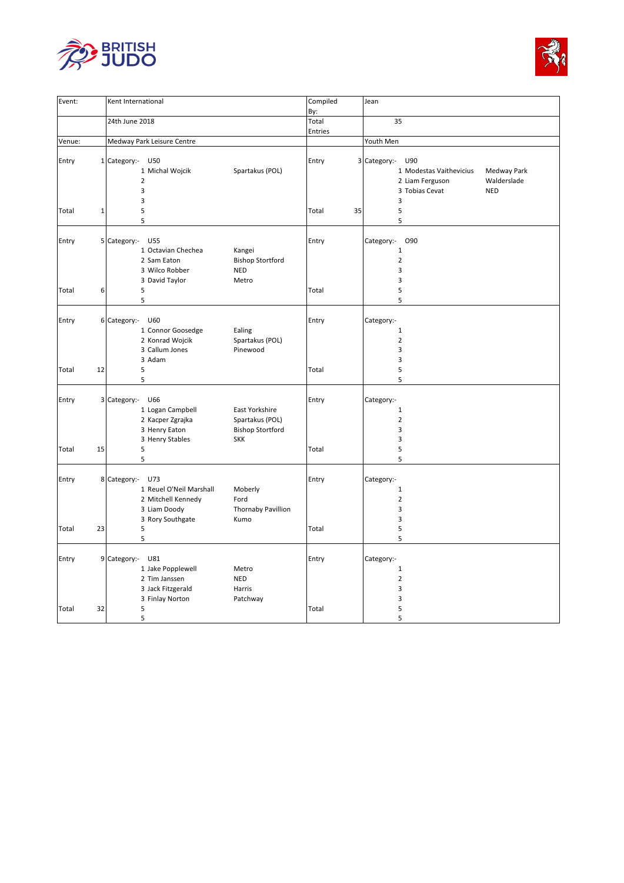



| Event:         |    | Kent International                                                                                                                 |                                                              | Compiled       | Jean                                                                                                                                 |
|----------------|----|------------------------------------------------------------------------------------------------------------------------------------|--------------------------------------------------------------|----------------|--------------------------------------------------------------------------------------------------------------------------------------|
|                |    |                                                                                                                                    |                                                              | By:            |                                                                                                                                      |
|                |    | 24th June 2018                                                                                                                     |                                                              | Total          | 35                                                                                                                                   |
|                |    |                                                                                                                                    |                                                              | Entries        |                                                                                                                                      |
| Venue:         |    | Medway Park Leisure Centre                                                                                                         |                                                              |                | Youth Men                                                                                                                            |
| Entry          |    | 1 Category:-<br>U50<br>1 Michal Wojcik<br>$\overline{2}$<br>3<br>3                                                                 | Spartakus (POL)                                              | Entry          | 3 Category:-<br>U90<br>1 Modestas Vaithevicius<br>Medway Park<br>Walderslade<br>2 Liam Ferguson<br>3 Tobias Cevat<br><b>NED</b><br>3 |
| Total          | 1  | 5<br>5                                                                                                                             |                                                              | Total<br>35    | 5<br>5                                                                                                                               |
| Entry          |    | 5 Category:- U55<br>1 Octavian Chechea<br>Kangei<br>2 Sam Eaton<br>3 Wilco Robber<br><b>NED</b><br>3 David Taylor<br>Metro         | <b>Bishop Stortford</b>                                      | Entry          | Category:- 090<br>1<br>$\mathbf 2$<br>3<br>3                                                                                         |
| Total          | 6  | 5                                                                                                                                  |                                                              | Total          | 5                                                                                                                                    |
|                |    | 5                                                                                                                                  |                                                              |                | 5                                                                                                                                    |
| Entry          |    | 6 Category:-<br>U60<br>1 Connor Goosedge<br>Ealing<br>2 Konrad Wojcik<br>3 Callum Jones<br>3 Adam                                  | Spartakus (POL)<br>Pinewood                                  | Entry          | Category:-<br>$1\,$<br>$\overline{2}$<br>3<br>3                                                                                      |
| Total          | 12 | 5<br>5                                                                                                                             |                                                              | Total          | 5<br>5                                                                                                                               |
| Entry<br>Total | 15 | 3 Category:- U66<br>1 Logan Campbell<br>2 Kacper Zgrajka<br>3 Henry Eaton<br>3 Henry Stables<br><b>SKK</b><br>5                    | East Yorkshire<br>Spartakus (POL)<br><b>Bishop Stortford</b> | Entry<br>Total | Category:-<br>$\mathbf 1$<br>$\mathbf 2$<br>3<br>3<br>5                                                                              |
|                |    | 5                                                                                                                                  |                                                              |                | 5                                                                                                                                    |
| Entry          |    | 8 Category:-<br>U73<br>1 Reuel O'Neil Marshall<br>2 Mitchell Kennedy<br>Ford<br>3 Liam Doody<br>3 Rory Southgate<br>Kumo           | Moberly<br><b>Thornaby Pavillion</b>                         | Entry          | Category:-<br>$\mathbf 1$<br>$\overline{2}$<br>3<br>3                                                                                |
| Total          | 23 | 5<br>5                                                                                                                             |                                                              | Total          | 5<br>5                                                                                                                               |
| Entry          |    | 9 Category:-<br>U81<br>1 Jake Popplewell<br>Metro<br>2 Tim Janssen<br><b>NED</b><br>3 Jack Fitzgerald<br>Harris<br>3 Finlay Norton | Patchway                                                     | Entry          | Category:-<br>$1\,$<br>$\overline{2}$<br>3<br>3                                                                                      |
| Total          | 32 | 5<br>5                                                                                                                             |                                                              | Total          | 5<br>5                                                                                                                               |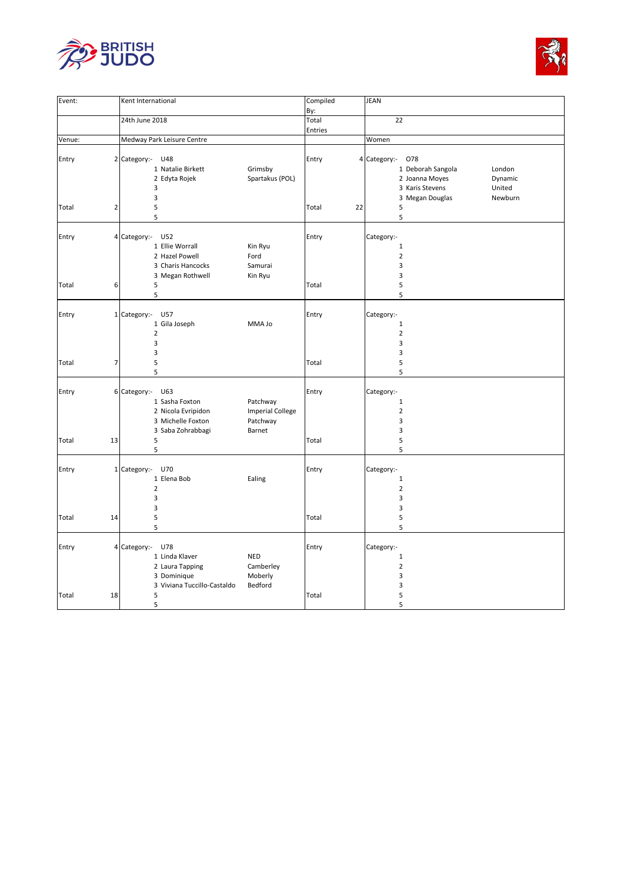



| Event: |    | Kent International         |                             |                         | Compiled    | <b>JEAN</b>  |                            |
|--------|----|----------------------------|-----------------------------|-------------------------|-------------|--------------|----------------------------|
|        |    |                            |                             |                         | By:         |              |                            |
|        |    | 24th June 2018             |                             |                         | Total       |              | 22                         |
|        |    |                            |                             |                         | Entries     |              |                            |
| Venue: |    | Medway Park Leisure Centre |                             |                         |             | Women        |                            |
| Entry  |    | U48<br>2 Category:-        |                             |                         | Entry       | 4 Category:- | O78                        |
|        |    |                            |                             |                         |             |              | London                     |
|        |    |                            | 1 Natalie Birkett           | Grimsby                 |             |              | 1 Deborah Sangola          |
|        |    |                            | 2 Edyta Rojek               | Spartakus (POL)         |             |              | 2 Joanna Moyes<br>Dynamic  |
|        |    | 3                          |                             |                         |             |              | United<br>3 Karis Stevens  |
|        |    | 3                          |                             |                         |             |              | Newburn<br>3 Megan Douglas |
| Total  | 2  | 5                          |                             |                         | Total<br>22 |              | 5                          |
|        |    | 5                          |                             |                         |             |              | 5                          |
| Entry  |    | 4 Category:- U52           |                             |                         | Entry       | Category:-   |                            |
|        |    |                            |                             |                         |             |              |                            |
|        |    |                            | 1 Ellie Worrall             | Kin Ryu                 |             |              | 1                          |
|        |    |                            | 2 Hazel Powell              | Ford                    |             |              | $\mathbf 2$                |
|        |    |                            | 3 Charis Hancocks           | Samurai                 |             |              | 3                          |
|        |    |                            | 3 Megan Rothwell            | Kin Ryu                 |             |              | 3                          |
| Total  | 6  | 5                          |                             |                         | Total       |              | 5                          |
|        |    | 5                          |                             |                         |             |              | 5                          |
|        |    |                            |                             |                         |             |              |                            |
| Entry  |    | 1 Category:-<br>U57        |                             |                         | Entry       | Category:-   |                            |
|        |    |                            | 1 Gila Joseph               | MMA Jo                  |             |              | 1                          |
|        |    | $\overline{2}$             |                             |                         |             |              | $\mathbf 2$                |
|        |    | 3                          |                             |                         |             |              | 3                          |
|        |    | 3                          |                             |                         |             |              | 3                          |
| Total  | 7  | 5                          |                             |                         | Total       |              | 5                          |
|        |    | 5                          |                             |                         |             |              | 5                          |
| Entry  |    | 6 Category:- U63           |                             |                         | Entry       | Category:-   |                            |
|        |    |                            | 1 Sasha Foxton              | Patchway                |             |              | 1                          |
|        |    |                            |                             | <b>Imperial College</b> |             |              | $\overline{2}$             |
|        |    |                            | 2 Nicola Evripidon          |                         |             |              |                            |
|        |    |                            | 3 Michelle Foxton           | Patchway                |             |              | 3                          |
|        |    |                            | 3 Saba Zohrabbagi           | Barnet                  |             |              | 3                          |
| Total  | 13 | 5                          |                             |                         | Total       |              | 5                          |
|        |    | 5                          |                             |                         |             |              | 5                          |
| Entry  |    | 1 Category:-<br>U70        |                             |                         | Entry       | Category:-   |                            |
|        |    |                            | 1 Elena Bob                 |                         |             |              | $\mathbf 1$                |
|        |    | $\overline{2}$             |                             | Ealing                  |             |              |                            |
|        |    |                            |                             |                         |             |              | $\mathbf 2$                |
|        |    | 3                          |                             |                         |             |              | 3                          |
|        |    | 3                          |                             |                         |             |              | 3                          |
| Total  | 14 | 5                          |                             |                         | Total       |              | 5                          |
|        |    | 5                          |                             |                         |             |              | 5                          |
| Entry  |    | 4 Category:-<br>U78        |                             |                         |             | Category:-   |                            |
|        |    |                            | 1 Linda Klaver              | <b>NED</b>              | Entry       |              | $\mathbf 1$                |
|        |    |                            |                             |                         |             |              |                            |
|        |    |                            | 2 Laura Tapping             | Camberley               |             |              | $\overline{2}$             |
|        |    |                            | 3 Dominique                 | Moberly                 |             |              | 3                          |
|        |    |                            | 3 Viviana Tuccillo-Castaldo | Bedford                 |             |              | 3                          |
| Total  | 18 | 5                          |                             |                         | Total       |              | 5                          |
|        |    | 5                          |                             |                         |             |              | 5                          |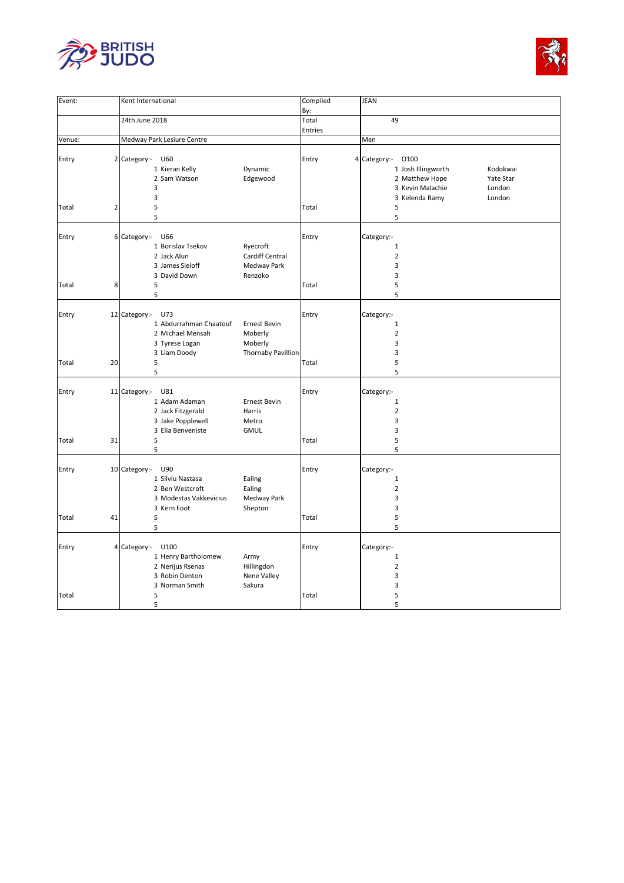



| Event:         |                | Kent International                                                                                                                                              | Compiled       | JEAN                                                                                                                                            |
|----------------|----------------|-----------------------------------------------------------------------------------------------------------------------------------------------------------------|----------------|-------------------------------------------------------------------------------------------------------------------------------------------------|
|                |                | 24th June 2018                                                                                                                                                  | By:<br>Total   | 49                                                                                                                                              |
|                |                |                                                                                                                                                                 |                |                                                                                                                                                 |
| Venue:         |                | Medway Park Lesiure Centre                                                                                                                                      | Entries        | Men                                                                                                                                             |
|                |                |                                                                                                                                                                 |                |                                                                                                                                                 |
| Entry          |                | 2 Category:-<br>U60<br>1 Kieran Kelly<br>Dynamic<br>2 Sam Watson<br>Edgewood<br>3<br>3                                                                          | Entry          | 4 Category:-<br>0100<br>1 Josh Illingworth<br>Kodokwai<br>2 Matthew Hope<br>Yate Star<br>3 Kevin Malachie<br>London<br>3 Kelenda Ramy<br>London |
| Total          | $\overline{2}$ | 5<br>5                                                                                                                                                          | Total          | 5<br>5                                                                                                                                          |
| Entry          |                | 6 Category:-<br>U66<br>1 Borislav Tsekov<br>Ryecroft<br>Cardiff Central<br>2 Jack Alun<br>3 James Sieloff<br>Medway Park<br>3 David Down<br>Renzoko             | Entry          | Category:-<br>$\mathbf 1$<br>$\overline{2}$<br>3<br>3                                                                                           |
| Total          | 8              | 5<br>5                                                                                                                                                          | Total          | 5<br>5                                                                                                                                          |
| Entry          |                | 12 Category:-<br>U73<br>1 Abdurrahman Chaatouf<br><b>Ernest Bevin</b><br>2 Michael Mensah<br>Moberly<br>3 Tyrese Logan<br>Moberly                               | Entry          | Category:-<br>1<br>$\mathbf 2$<br>3                                                                                                             |
| Total          | 20             | 3 Liam Doody<br><b>Thornaby Pavillion</b><br>5<br>5                                                                                                             | Total          | 3<br>5<br>5                                                                                                                                     |
| Entry<br>Total | 31             | 11 Category:- U81<br>1 Adam Adaman<br><b>Ernest Bevin</b><br>2 Jack Fitzgerald<br>Harris<br>3 Jake Popplewell<br>Metro<br>3 Elia Benveniste<br><b>GMUL</b><br>5 | Entry<br>Total | Category:-<br>$\mathbf 1$<br>$\overline{2}$<br>3<br>3<br>5                                                                                      |
|                |                | 5                                                                                                                                                               |                | 5                                                                                                                                               |
| Entry          |                | 10 Category:-<br>U90<br>1 Silviu Nastasa<br>Ealing<br>2 Ben Westcroft<br>Ealing<br>3 Modestas Vakkevicius<br>Medway Park<br>3 Kern Foot<br>Shepton              | Entry          | Category:-<br>$\mathbf 1$<br>$\mathbf 2$<br>3<br>3                                                                                              |
| Total          | 41             | 5<br>5                                                                                                                                                          | Total          | 5<br>5                                                                                                                                          |
| Entry          |                | 4 Category:-<br>U100<br>1 Henry Bartholomew<br>Army<br>2 Nerijus Rsenas<br>Hillingdon<br>3 Robin Denton<br>Nene Valley<br>3 Norman Smith<br>Sakura              | Entry          | Category:-<br>$\mathbf 1$<br>$\overline{2}$<br>3<br>3                                                                                           |
| Total          |                | 5<br>5                                                                                                                                                          | Total          | 5<br>5                                                                                                                                          |